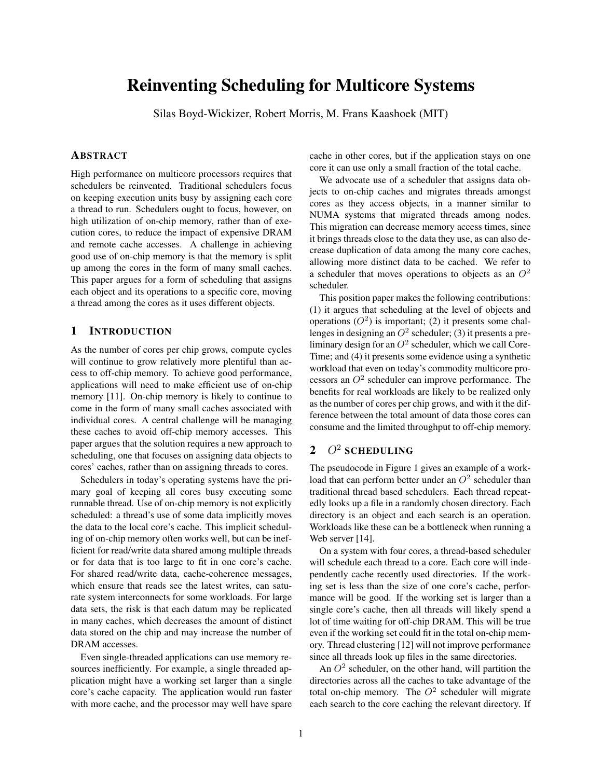# Reinventing Scheduling for Multicore Systems

Silas Boyd-Wickizer, Robert Morris, M. Frans Kaashoek (MIT)

# ABSTRACT

High performance on multicore processors requires that schedulers be reinvented. Traditional schedulers focus on keeping execution units busy by assigning each core a thread to run. Schedulers ought to focus, however, on high utilization of on-chip memory, rather than of execution cores, to reduce the impact of expensive DRAM and remote cache accesses. A challenge in achieving good use of on-chip memory is that the memory is split up among the cores in the form of many small caches. This paper argues for a form of scheduling that assigns each object and its operations to a specific core, moving a thread among the cores as it uses different objects.

### 1 INTRODUCTION

As the number of cores per chip grows, compute cycles will continue to grow relatively more plentiful than access to off-chip memory. To achieve good performance, applications will need to make efficient use of on-chip memory [11]. On-chip memory is likely to continue to come in the form of many small caches associated with individual cores. A central challenge will be managing these caches to avoid off-chip memory accesses. This paper argues that the solution requires a new approach to scheduling, one that focuses on assigning data objects to cores' caches, rather than on assigning threads to cores.

Schedulers in today's operating systems have the primary goal of keeping all cores busy executing some runnable thread. Use of on-chip memory is not explicitly scheduled: a thread's use of some data implicitly moves the data to the local core's cache. This implicit scheduling of on-chip memory often works well, but can be inefficient for read/write data shared among multiple threads or for data that is too large to fit in one core's cache. For shared read/write data, cache-coherence messages, which ensure that reads see the latest writes, can saturate system interconnects for some workloads. For large data sets, the risk is that each datum may be replicated in many caches, which decreases the amount of distinct data stored on the chip and may increase the number of DRAM accesses.

Even single-threaded applications can use memory resources inefficiently. For example, a single threaded application might have a working set larger than a single core's cache capacity. The application would run faster with more cache, and the processor may well have spare cache in other cores, but if the application stays on one core it can use only a small fraction of the total cache.

We advocate use of a scheduler that assigns data objects to on-chip caches and migrates threads amongst cores as they access objects, in a manner similar to NUMA systems that migrated threads among nodes. This migration can decrease memory access times, since it brings threads close to the data they use, as can also decrease duplication of data among the many core caches, allowing more distinct data to be cached. We refer to a scheduler that moves operations to objects as an  $O^2$ scheduler.

This position paper makes the following contributions: (1) it argues that scheduling at the level of objects and operations  $(O^2)$  is important; (2) it presents some challenges in designing an  $O^2$  scheduler; (3) it presents a preliminary design for an  $O^2$  scheduler, which we call Core-Time; and (4) it presents some evidence using a synthetic workload that even on today's commodity multicore processors an  $O^2$  scheduler can improve performance. The benefits for real workloads are likely to be realized only as the number of cores per chip grows, and with it the difference between the total amount of data those cores can consume and the limited throughput to off-chip memory.

# 2  $O^2$  scheduling

The pseudocode in Figure 1 gives an example of a workload that can perform better under an  $O^2$  scheduler than traditional thread based schedulers. Each thread repeatedly looks up a file in a randomly chosen directory. Each directory is an object and each search is an operation. Workloads like these can be a bottleneck when running a Web server [14].

On a system with four cores, a thread-based scheduler will schedule each thread to a core. Each core will independently cache recently used directories. If the working set is less than the size of one core's cache, performance will be good. If the working set is larger than a single core's cache, then all threads will likely spend a lot of time waiting for off-chip DRAM. This will be true even if the working set could fit in the total on-chip memory. Thread clustering [12] will not improve performance since all threads look up files in the same directories.

An  $O<sup>2</sup>$  scheduler, on the other hand, will partition the directories across all the caches to take advantage of the total on-chip memory. The  $O^2$  scheduler will migrate each search to the core caching the relevant directory. If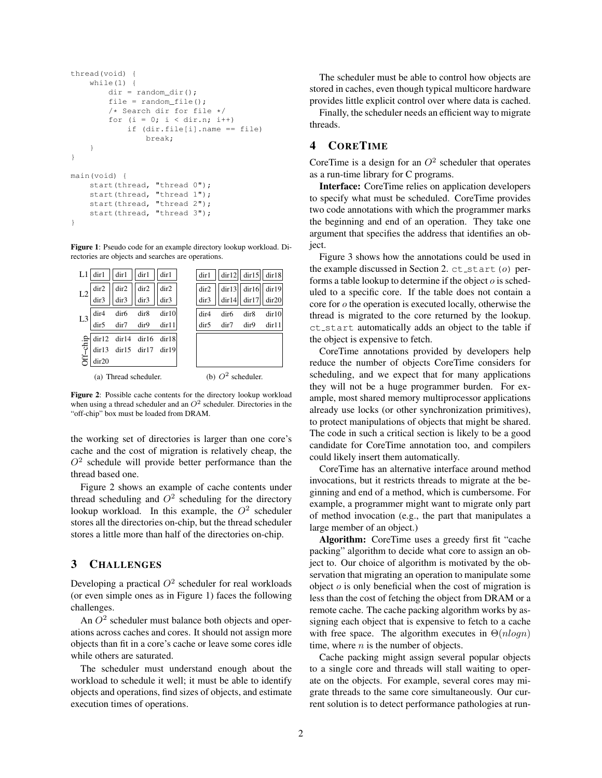```
thread(void) {
    while(1) {
        dir = random\_dir();
        file = random_file();
        /* Search dir for file */
        for (i = 0; i < dir.n; i++)if (dir.file[i].name == file)
                break;
    }
}
main(void) {
   start(thread, "thread 0");
    start(thread, "thread 1");
    start(thread, "thread 2");
    start(thread, "thread 3");
}
```
Figure 1: Pseudo code for an example directory lookup workload. Directories are objects and searches are operations.

| L1              | dir1                  | dir1             | dir1  | dir1  | dir1             | dir12 | dir15 | dir18 |
|-----------------|-----------------------|------------------|-------|-------|------------------|-------|-------|-------|
| L2              | dir2                  | dir2             | dir2  | dir2  | dir2             | dir13 | dir16 | dir19 |
|                 | dir3                  | dir3             | dir3  | dir3  | dir3             | dir14 | dir17 | dir20 |
| L3              | dir <sub>4</sub>      | dir <sub>6</sub> | dir8  | dir10 | dir <sub>4</sub> | dir6  | dir8  | dir10 |
|                 | dir5                  | dir7             | dir9  | dir11 | dir <sub>5</sub> | dir7  | dir9  | dir11 |
|                 | dir12                 | dir14            | dir16 | dir18 |                  |       |       |       |
| <b>Iff-chip</b> | dir13                 | dir15            | dir17 | dir19 |                  |       |       |       |
|                 | dir20                 |                  |       |       |                  |       |       |       |
|                 | (a) Thread scheduler. |                  |       |       | $O^2$ scheduler. |       |       |       |

Figure 2: Possible cache contents for the directory lookup workload when using a thread scheduler and an  $O^2$  scheduler. Directories in the "off-chip" box must be loaded from DRAM.

the working set of directories is larger than one core's cache and the cost of migration is relatively cheap, the  $O<sup>2</sup>$  schedule will provide better performance than the thread based one.

Figure 2 shows an example of cache contents under thread scheduling and  $O^2$  scheduling for the directory lookup workload. In this example, the  $O^2$  scheduler stores all the directories on-chip, but the thread scheduler stores a little more than half of the directories on-chip.

## 3 CHALLENGES

Developing a practical  $O^2$  scheduler for real workloads (or even simple ones as in Figure 1) faces the following challenges.

An  $O<sup>2</sup>$  scheduler must balance both objects and operations across caches and cores. It should not assign more objects than fit in a core's cache or leave some cores idle while others are saturated.

The scheduler must understand enough about the workload to schedule it well; it must be able to identify objects and operations, find sizes of objects, and estimate execution times of operations.

The scheduler must be able to control how objects are stored in caches, even though typical multicore hardware provides little explicit control over where data is cached.

Finally, the scheduler needs an efficient way to migrate threads.

# 4 CORETIME

CoreTime is a design for an  $O<sup>2</sup>$  scheduler that operates as a run-time library for C programs.

Interface: CoreTime relies on application developers to specify what must be scheduled. CoreTime provides two code annotations with which the programmer marks the beginning and end of an operation. They take one argument that specifies the address that identifies an object.

Figure 3 shows how the annotations could be used in the example discussed in Section 2.  $ct$ <sub>-</sub>start( $o$ ) performs a table lookup to determine if the object  $o$  is scheduled to a specific core. If the table does not contain a core for o the operation is executed locally, otherwise the thread is migrated to the core returned by the lookup. ct\_start automatically adds an object to the table if the object is expensive to fetch.

CoreTime annotations provided by developers help reduce the number of objects CoreTime considers for scheduling, and we expect that for many applications they will not be a huge programmer burden. For example, most shared memory multiprocessor applications already use locks (or other synchronization primitives), to protect manipulations of objects that might be shared. The code in such a critical section is likely to be a good candidate for CoreTime annotation too, and compilers could likely insert them automatically.

CoreTime has an alternative interface around method invocations, but it restricts threads to migrate at the beginning and end of a method, which is cumbersome. For example, a programmer might want to migrate only part of method invocation (e.g., the part that manipulates a large member of an object.)

Algorithm: CoreTime uses a greedy first fit "cache packing" algorithm to decide what core to assign an object to. Our choice of algorithm is motivated by the observation that migrating an operation to manipulate some object  $o$  is only beneficial when the cost of migration is less than the cost of fetching the object from DRAM or a remote cache. The cache packing algorithm works by assigning each object that is expensive to fetch to a cache with free space. The algorithm executes in  $\Theta(n \log n)$ time, where  $n$  is the number of objects.

Cache packing might assign several popular objects to a single core and threads will stall waiting to operate on the objects. For example, several cores may migrate threads to the same core simultaneously. Our current solution is to detect performance pathologies at run-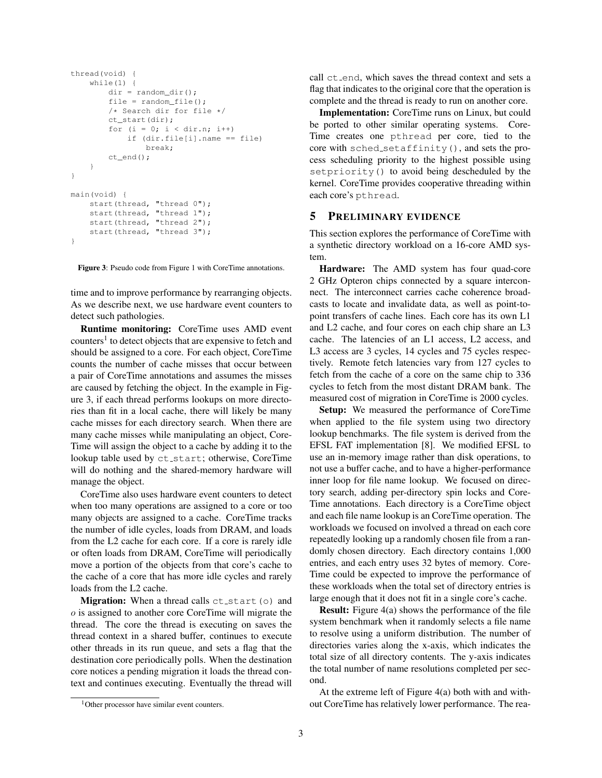```
thread(void) {
    while(1) {
        dir = random\_dir();
        file = random_file();
        /* Search dir for file */
        ct_start(dir);
        for (i = 0; i < dir.n; i++)if (dir.file[i].name == file)
                break;
        ct_end();
    }
}
main(void) {
    start(thread, "thread 0");
    start(thread, "thread 1");
    start(thread, "thread 2");
    start(thread, "thread 3");
}
```
Figure 3: Pseudo code from Figure 1 with CoreTime annotations.

time and to improve performance by rearranging objects. As we describe next, we use hardware event counters to detect such pathologies.

Runtime monitoring: CoreTime uses AMD event counters<sup>1</sup> to detect objects that are expensive to fetch and should be assigned to a core. For each object, CoreTime counts the number of cache misses that occur between a pair of CoreTime annotations and assumes the misses are caused by fetching the object. In the example in Figure 3, if each thread performs lookups on more directories than fit in a local cache, there will likely be many cache misses for each directory search. When there are many cache misses while manipulating an object, Core-Time will assign the object to a cache by adding it to the lookup table used by ct\_start; otherwise, CoreTime will do nothing and the shared-memory hardware will manage the object.

CoreTime also uses hardware event counters to detect when too many operations are assigned to a core or too many objects are assigned to a cache. CoreTime tracks the number of idle cycles, loads from DRAM, and loads from the L2 cache for each core. If a core is rarely idle or often loads from DRAM, CoreTime will periodically move a portion of the objects from that core's cache to the cache of a core that has more idle cycles and rarely loads from the L2 cache.

**Migration:** When a thread calls  $ct$ -start(o) and o is assigned to another core CoreTime will migrate the thread. The core the thread is executing on saves the thread context in a shared buffer, continues to execute other threads in its run queue, and sets a flag that the destination core periodically polls. When the destination core notices a pending migration it loads the thread context and continues executing. Eventually the thread will call ct end, which saves the thread context and sets a flag that indicates to the original core that the operation is complete and the thread is ready to run on another core.

Implementation: CoreTime runs on Linux, but could be ported to other similar operating systems. Core-Time creates one pthread per core, tied to the core with sched setaffinity(), and sets the process scheduling priority to the highest possible using setpriority() to avoid being descheduled by the kernel. CoreTime provides cooperative threading within each core's pthread.

#### 5 PRELIMINARY EVIDENCE

This section explores the performance of CoreTime with a synthetic directory workload on a 16-core AMD system.

Hardware: The AMD system has four quad-core 2 GHz Opteron chips connected by a square interconnect. The interconnect carries cache coherence broadcasts to locate and invalidate data, as well as point-topoint transfers of cache lines. Each core has its own L1 and L2 cache, and four cores on each chip share an L3 cache. The latencies of an L1 access, L2 access, and L3 access are 3 cycles, 14 cycles and 75 cycles respectively. Remote fetch latencies vary from 127 cycles to fetch from the cache of a core on the same chip to 336 cycles to fetch from the most distant DRAM bank. The measured cost of migration in CoreTime is 2000 cycles.

Setup: We measured the performance of CoreTime when applied to the file system using two directory lookup benchmarks. The file system is derived from the EFSL FAT implementation [8]. We modified EFSL to use an in-memory image rather than disk operations, to not use a buffer cache, and to have a higher-performance inner loop for file name lookup. We focused on directory search, adding per-directory spin locks and Core-Time annotations. Each directory is a CoreTime object and each file name lookup is an CoreTime operation. The workloads we focused on involved a thread on each core repeatedly looking up a randomly chosen file from a randomly chosen directory. Each directory contains 1,000 entries, and each entry uses 32 bytes of memory. Core-Time could be expected to improve the performance of these workloads when the total set of directory entries is large enough that it does not fit in a single core's cache.

Result: Figure 4(a) shows the performance of the file system benchmark when it randomly selects a file name to resolve using a uniform distribution. The number of directories varies along the x-axis, which indicates the total size of all directory contents. The y-axis indicates the total number of name resolutions completed per second.

At the extreme left of Figure 4(a) both with and without CoreTime has relatively lower performance. The rea-

<sup>&</sup>lt;sup>1</sup>Other processor have similar event counters.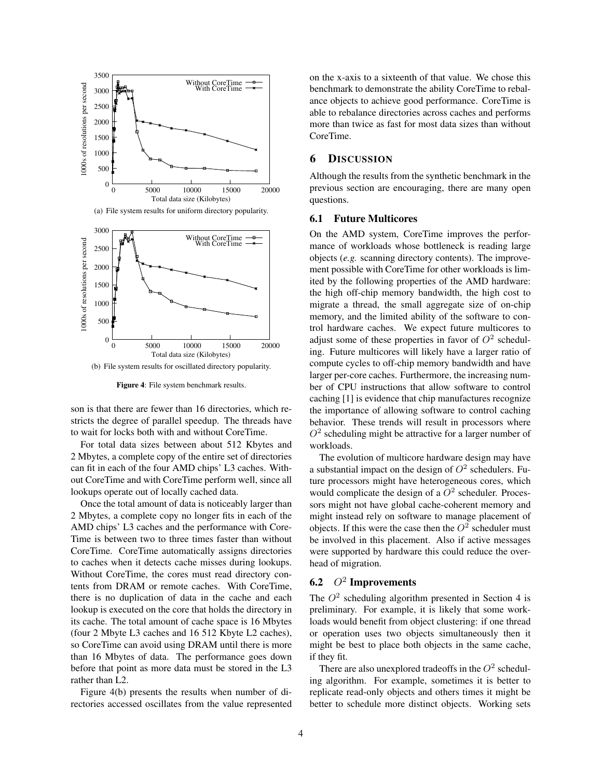

(a) File system results for uniform directory popularity.



(b) File system results for oscillated directory popularity.

Figure 4: File system benchmark results.

son is that there are fewer than 16 directories, which restricts the degree of parallel speedup. The threads have to wait for locks both with and without CoreTime.

For total data sizes between about 512 Kbytes and 2 Mbytes, a complete copy of the entire set of directories can fit in each of the four AMD chips' L3 caches. Without CoreTime and with CoreTime perform well, since all lookups operate out of locally cached data.

Once the total amount of data is noticeably larger than 2 Mbytes, a complete copy no longer fits in each of the AMD chips' L3 caches and the performance with Core-Time is between two to three times faster than without CoreTime. CoreTime automatically assigns directories to caches when it detects cache misses during lookups. Without CoreTime, the cores must read directory contents from DRAM or remote caches. With CoreTime, there is no duplication of data in the cache and each lookup is executed on the core that holds the directory in its cache. The total amount of cache space is 16 Mbytes (four 2 Mbyte L3 caches and 16 512 Kbyte L2 caches), so CoreTime can avoid using DRAM until there is more than 16 Mbytes of data. The performance goes down before that point as more data must be stored in the L3 rather than L2.

Figure 4(b) presents the results when number of directories accessed oscillates from the value represented on the x-axis to a sixteenth of that value. We chose this benchmark to demonstrate the ability CoreTime to rebalance objects to achieve good performance. CoreTime is able to rebalance directories across caches and performs more than twice as fast for most data sizes than without CoreTime.

#### 6 DISCUSSION

Although the results from the synthetic benchmark in the previous section are encouraging, there are many open questions.

#### 6.1 Future Multicores

On the AMD system, CoreTime improves the performance of workloads whose bottleneck is reading large objects (*e.g.* scanning directory contents). The improvement possible with CoreTime for other workloads is limited by the following properties of the AMD hardware: the high off-chip memory bandwidth, the high cost to migrate a thread, the small aggregate size of on-chip memory, and the limited ability of the software to control hardware caches. We expect future multicores to adjust some of these properties in favor of  $O^2$  scheduling. Future multicores will likely have a larger ratio of compute cycles to off-chip memory bandwidth and have larger per-core caches. Furthermore, the increasing number of CPU instructions that allow software to control caching [1] is evidence that chip manufactures recognize the importance of allowing software to control caching behavior. These trends will result in processors where  $O<sup>2</sup>$  scheduling might be attractive for a larger number of workloads.

The evolution of multicore hardware design may have a substantial impact on the design of  $O^2$  schedulers. Future processors might have heterogeneous cores, which would complicate the design of a  $O^2$  scheduler. Processors might not have global cache-coherent memory and might instead rely on software to manage placement of objects. If this were the case then the  $O^2$  scheduler must be involved in this placement. Also if active messages were supported by hardware this could reduce the overhead of migration.

# **6.2**  $O^2$  Improvements

The  $O^2$  scheduling algorithm presented in Section 4 is preliminary. For example, it is likely that some workloads would benefit from object clustering: if one thread or operation uses two objects simultaneously then it might be best to place both objects in the same cache, if they fit.

There are also unexplored tradeoffs in the  $O^2$  scheduling algorithm. For example, sometimes it is better to replicate read-only objects and others times it might be better to schedule more distinct objects. Working sets